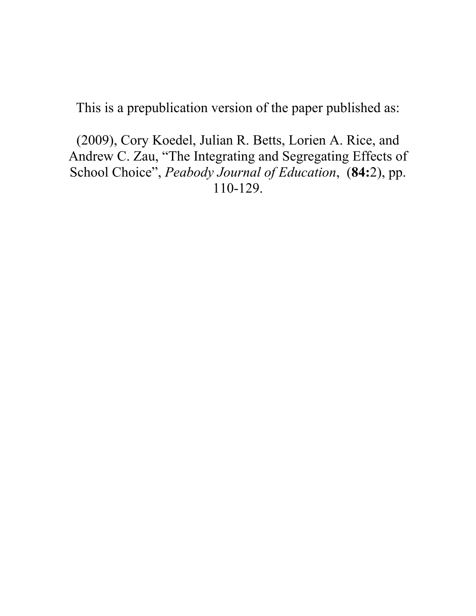This is a prepublication version of the paper published as:

(2009), Cory Koedel, Julian R. Betts, Lorien A. Rice, and Andrew C. Zau, "The Integrating and Segregating Effects of School Choice", *Peabody Journal of Education*, (**84:**2), pp. 110-129.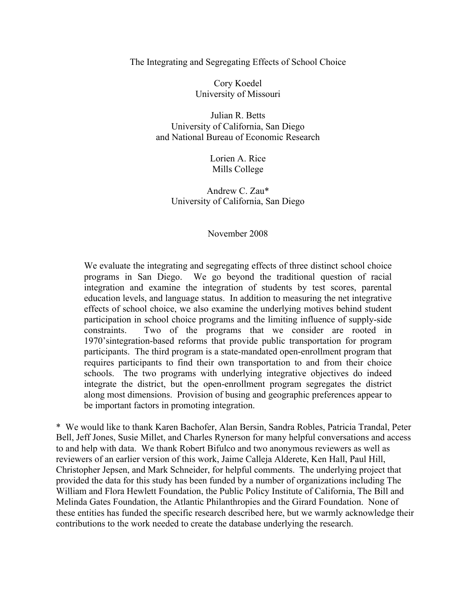The Integrating and Segregating Effects of School Choice

Cory Koedel University of Missouri

Julian R. Betts University of California, San Diego and National Bureau of Economic Research

> Lorien A. Rice Mills College

## Andrew C. Zau\* University of California, San Diego

## November 2008

We evaluate the integrating and segregating effects of three distinct school choice programs in San Diego. We go beyond the traditional question of racial integration and examine the integration of students by test scores, parental education levels, and language status. In addition to measuring the net integrative effects of school choice, we also examine the underlying motives behind student participation in school choice programs and the limiting influence of supply-side constraints. Two of the programs that we consider are rooted in 1970'sintegration-based reforms that provide public transportation for program participants. The third program is a state-mandated open-enrollment program that requires participants to find their own transportation to and from their choice schools. The two programs with underlying integrative objectives do indeed integrate the district, but the open-enrollment program segregates the district along most dimensions. Provision of busing and geographic preferences appear to be important factors in promoting integration.

\* We would like to thank Karen Bachofer, Alan Bersin, Sandra Robles, Patricia Trandal, Peter Bell, Jeff Jones, Susie Millet, and Charles Rynerson for many helpful conversations and access to and help with data. We thank Robert Bifulco and two anonymous reviewers as well as reviewers of an earlier version of this work, Jaime Calleja Alderete, Ken Hall, Paul Hill, Christopher Jepsen, and Mark Schneider, for helpful comments. The underlying project that provided the data for this study has been funded by a number of organizations including The William and Flora Hewlett Foundation, the Public Policy Institute of California, The Bill and Melinda Gates Foundation, the Atlantic Philanthropies and the Girard Foundation. None of these entities has funded the specific research described here, but we warmly acknowledge their contributions to the work needed to create the database underlying the research.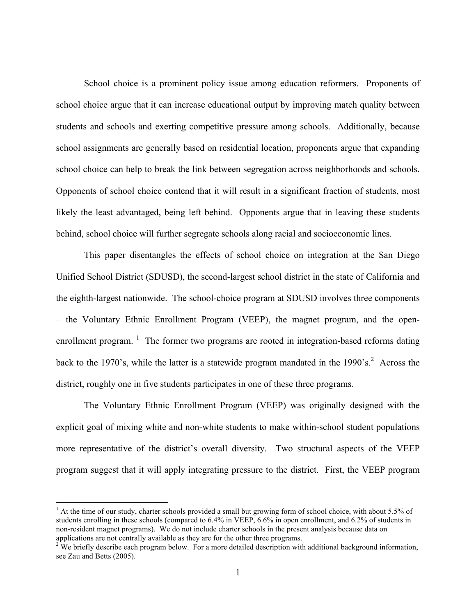School choice is a prominent policy issue among education reformers. Proponents of school choice argue that it can increase educational output by improving match quality between students and schools and exerting competitive pressure among schools. Additionally, because school assignments are generally based on residential location, proponents argue that expanding school choice can help to break the link between segregation across neighborhoods and schools. Opponents of school choice contend that it will result in a significant fraction of students, most likely the least advantaged, being left behind. Opponents argue that in leaving these students behind, school choice will further segregate schools along racial and socioeconomic lines.

This paper disentangles the effects of school choice on integration at the San Diego Unified School District (SDUSD), the second-largest school district in the state of California and the eighth-largest nationwide. The school-choice program at SDUSD involves three components – the Voluntary Ethnic Enrollment Program (VEEP), the magnet program, and the openenrollment program.  $\frac{1}{1}$  The former two programs are rooted in integration-based reforms dating back to the 1970's, while the latter is a statewide program mandated in the  $1990's.^2$ . Across the district, roughly one in five students participates in one of these three programs.

The Voluntary Ethnic Enrollment Program (VEEP) was originally designed with the explicit goal of mixing white and non-white students to make within-school student populations more representative of the district's overall diversity. Two structural aspects of the VEEP program suggest that it will apply integrating pressure to the district. First, the VEEP program

 $<sup>1</sup>$  At the time of our study, charter schools provided a small but growing form of school choice, with about 5.5% of</sup> students enrolling in these schools (compared to 6.4% in VEEP, 6.6% in open enrollment, and 6.2% of students in non-resident magnet programs). We do not include charter schools in the present analysis because data on applications are not centrally available as they are for the other three programs.<br><sup>2</sup> We briefly describe each program below. For a more detailed description with additional background information,

see Zau and Betts (2005).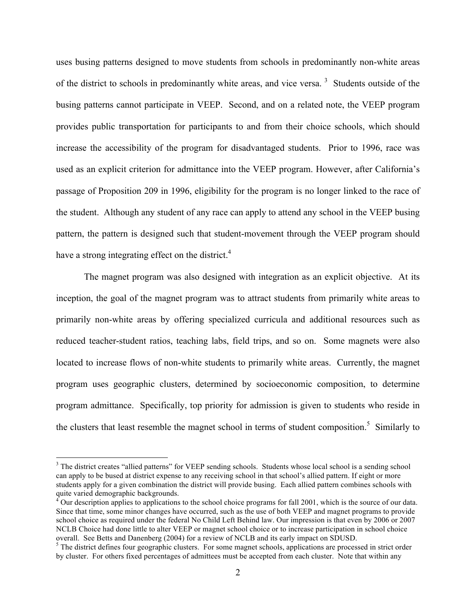uses busing patterns designed to move students from schools in predominantly non-white areas of the district to schools in predominantly white areas, and vice versa.<sup>3</sup> Students outside of the busing patterns cannot participate in VEEP. Second, and on a related note, the VEEP program provides public transportation for participants to and from their choice schools, which should increase the accessibility of the program for disadvantaged students. Prior to 1996, race was used as an explicit criterion for admittance into the VEEP program. However, after California's passage of Proposition 209 in 1996, eligibility for the program is no longer linked to the race of the student. Although any student of any race can apply to attend any school in the VEEP busing pattern, the pattern is designed such that student-movement through the VEEP program should have a strong integrating effect on the district.<sup>4</sup>

The magnet program was also designed with integration as an explicit objective. At its inception, the goal of the magnet program was to attract students from primarily white areas to primarily non-white areas by offering specialized curricula and additional resources such as reduced teacher-student ratios, teaching labs, field trips, and so on. Some magnets were also located to increase flows of non-white students to primarily white areas. Currently, the magnet program uses geographic clusters, determined by socioeconomic composition, to determine program admittance. Specifically, top priority for admission is given to students who reside in the clusters that least resemble the magnet school in terms of student composition.<sup>5</sup> Similarly to

<sup>&</sup>lt;sup>3</sup> The district creates "allied patterns" for VEEP sending schools. Students whose local school is a sending school can apply to be bused at district expense to any receiving school in that school's allied pattern. If eight or more students apply for a given combination the district will provide busing. Each allied pattern combines schools with

 $\rm ^4$  Our description applies to applications to the school choice programs for fall 2001, which is the source of our data. Since that time, some minor changes have occurred, such as the use of both VEEP and magnet programs to provide school choice as required under the federal No Child Left Behind law. Our impression is that even by 2006 or 2007 NCLB Choice had done little to alter VEEP or magnet school choice or to increase participation in school choice overall. See Betts and Danenberg (2004) for a review of NCLB and its early impact on SDUSD.<br><sup>5</sup> The district defines four geographic clusters. For some magnet schools, applications are processed in strict order

by cluster. For others fixed percentages of admittees must be accepted from each cluster. Note that within any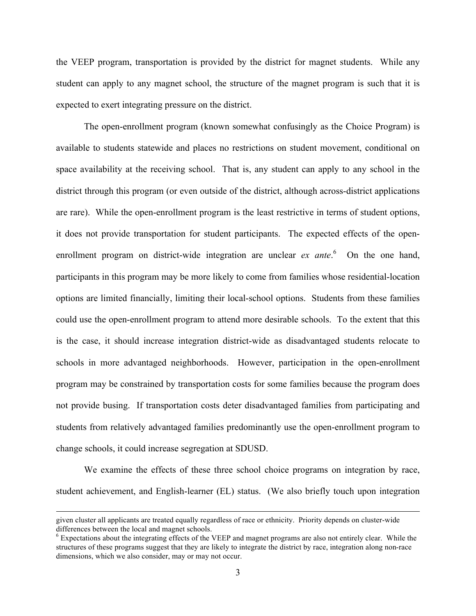the VEEP program, transportation is provided by the district for magnet students. While any student can apply to any magnet school, the structure of the magnet program is such that it is expected to exert integrating pressure on the district.

The open-enrollment program (known somewhat confusingly as the Choice Program) is available to students statewide and places no restrictions on student movement, conditional on space availability at the receiving school. That is, any student can apply to any school in the district through this program (or even outside of the district, although across-district applications are rare). While the open-enrollment program is the least restrictive in terms of student options, it does not provide transportation for student participants. The expected effects of the openenrollment program on district-wide integration are unclear *ex ante*.<sup>6</sup> On the one hand, participants in this program may be more likely to come from families whose residential-location options are limited financially, limiting their local-school options. Students from these families could use the open-enrollment program to attend more desirable schools. To the extent that this is the case, it should increase integration district-wide as disadvantaged students relocate to schools in more advantaged neighborhoods. However, participation in the open-enrollment program may be constrained by transportation costs for some families because the program does not provide busing. If transportation costs deter disadvantaged families from participating and students from relatively advantaged families predominantly use the open-enrollment program to change schools, it could increase segregation at SDUSD.

We examine the effects of these three school choice programs on integration by race, student achievement, and English-learner (EL) status. (We also briefly touch upon integration

given cluster all applicants are treated equally regardless of race or ethnicity. Priority depends on cluster-wide differences between the local and magnet schools.

<sup>6</sup> Expectations about the integrating effects of the VEEP and magnet programs are also not entirely clear. While the structures of these programs suggest that they are likely to integrate the district by race, integration along non-race dimensions, which we also consider, may or may not occur.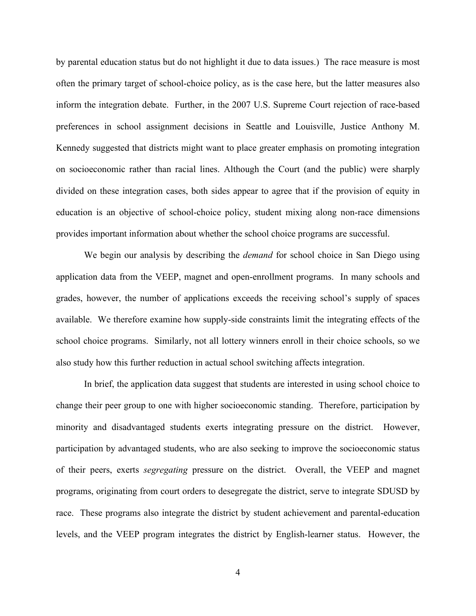by parental education status but do not highlight it due to data issues.) The race measure is most often the primary target of school-choice policy, as is the case here, but the latter measures also inform the integration debate. Further, in the 2007 U.S. Supreme Court rejection of race-based preferences in school assignment decisions in Seattle and Louisville, Justice Anthony M. Kennedy suggested that districts might want to place greater emphasis on promoting integration on socioeconomic rather than racial lines. Although the Court (and the public) were sharply divided on these integration cases, both sides appear to agree that if the provision of equity in education is an objective of school-choice policy, student mixing along non-race dimensions provides important information about whether the school choice programs are successful.

We begin our analysis by describing the *demand* for school choice in San Diego using application data from the VEEP, magnet and open-enrollment programs. In many schools and grades, however, the number of applications exceeds the receiving school's supply of spaces available. We therefore examine how supply-side constraints limit the integrating effects of the school choice programs. Similarly, not all lottery winners enroll in their choice schools, so we also study how this further reduction in actual school switching affects integration.

In brief, the application data suggest that students are interested in using school choice to change their peer group to one with higher socioeconomic standing. Therefore, participation by minority and disadvantaged students exerts integrating pressure on the district. However, participation by advantaged students, who are also seeking to improve the socioeconomic status of their peers, exerts *segregating* pressure on the district. Overall, the VEEP and magnet programs, originating from court orders to desegregate the district, serve to integrate SDUSD by race. These programs also integrate the district by student achievement and parental-education levels, and the VEEP program integrates the district by English-learner status. However, the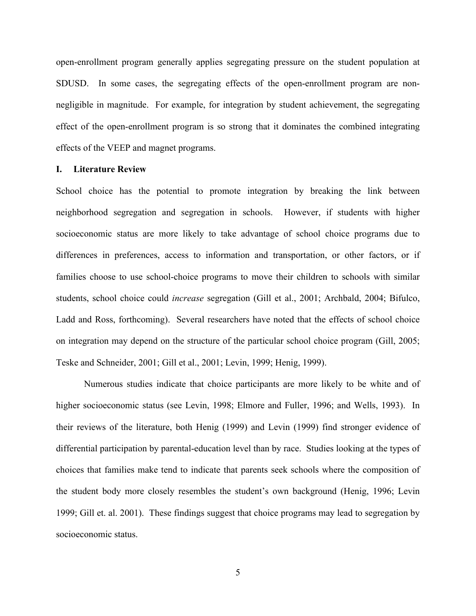open-enrollment program generally applies segregating pressure on the student population at SDUSD. In some cases, the segregating effects of the open-enrollment program are nonnegligible in magnitude. For example, for integration by student achievement, the segregating effect of the open-enrollment program is so strong that it dominates the combined integrating effects of the VEEP and magnet programs.

#### **I. Literature Review**

School choice has the potential to promote integration by breaking the link between neighborhood segregation and segregation in schools. However, if students with higher socioeconomic status are more likely to take advantage of school choice programs due to differences in preferences, access to information and transportation, or other factors, or if families choose to use school-choice programs to move their children to schools with similar students, school choice could *increase* segregation (Gill et al., 2001; Archbald, 2004; Bifulco, Ladd and Ross, forthcoming). Several researchers have noted that the effects of school choice on integration may depend on the structure of the particular school choice program (Gill, 2005; Teske and Schneider, 2001; Gill et al., 2001; Levin, 1999; Henig, 1999).

Numerous studies indicate that choice participants are more likely to be white and of higher socioeconomic status (see Levin, 1998; Elmore and Fuller, 1996; and Wells, 1993). In their reviews of the literature, both Henig (1999) and Levin (1999) find stronger evidence of differential participation by parental-education level than by race. Studies looking at the types of choices that families make tend to indicate that parents seek schools where the composition of the student body more closely resembles the student's own background (Henig, 1996; Levin 1999; Gill et. al. 2001). These findings suggest that choice programs may lead to segregation by socioeconomic status.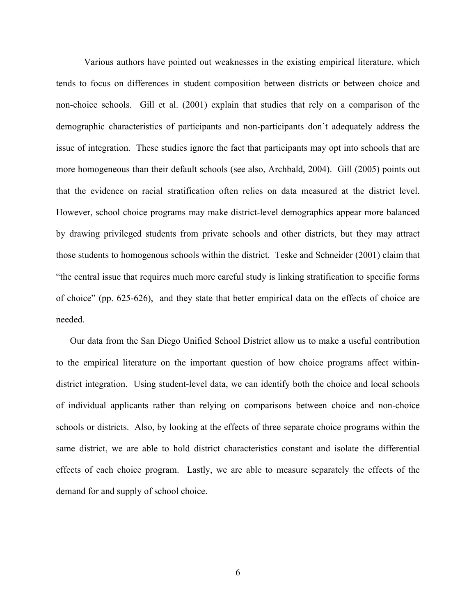Various authors have pointed out weaknesses in the existing empirical literature, which tends to focus on differences in student composition between districts or between choice and non-choice schools. Gill et al. (2001) explain that studies that rely on a comparison of the demographic characteristics of participants and non-participants don't adequately address the issue of integration. These studies ignore the fact that participants may opt into schools that are more homogeneous than their default schools (see also, Archbald, 2004). Gill (2005) points out that the evidence on racial stratification often relies on data measured at the district level. However, school choice programs may make district-level demographics appear more balanced by drawing privileged students from private schools and other districts, but they may attract those students to homogenous schools within the district. Teske and Schneider (2001) claim that "the central issue that requires much more careful study is linking stratification to specific forms of choice" (pp. 625-626), and they state that better empirical data on the effects of choice are needed.

Our data from the San Diego Unified School District allow us to make a useful contribution to the empirical literature on the important question of how choice programs affect withindistrict integration. Using student-level data, we can identify both the choice and local schools of individual applicants rather than relying on comparisons between choice and non-choice schools or districts. Also, by looking at the effects of three separate choice programs within the same district, we are able to hold district characteristics constant and isolate the differential effects of each choice program. Lastly, we are able to measure separately the effects of the demand for and supply of school choice.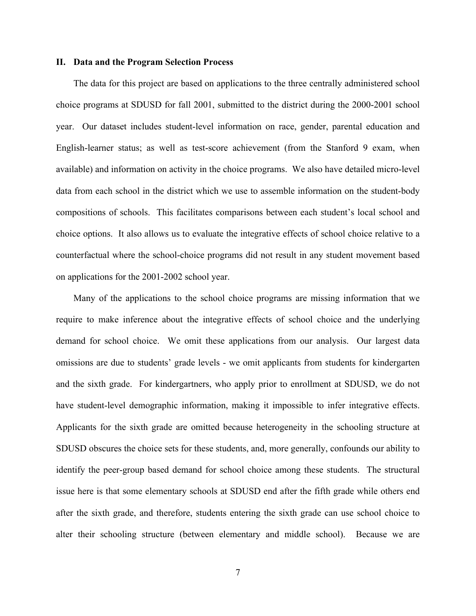#### **II. Data and the Program Selection Process**

The data for this project are based on applications to the three centrally administered school choice programs at SDUSD for fall 2001, submitted to the district during the 2000-2001 school year. Our dataset includes student-level information on race, gender, parental education and English-learner status; as well as test-score achievement (from the Stanford 9 exam, when available) and information on activity in the choice programs. We also have detailed micro-level data from each school in the district which we use to assemble information on the student-body compositions of schools. This facilitates comparisons between each student's local school and choice options. It also allows us to evaluate the integrative effects of school choice relative to a counterfactual where the school-choice programs did not result in any student movement based on applications for the 2001-2002 school year.

Many of the applications to the school choice programs are missing information that we require to make inference about the integrative effects of school choice and the underlying demand for school choice. We omit these applications from our analysis. Our largest data omissions are due to students' grade levels - we omit applicants from students for kindergarten and the sixth grade. For kindergartners, who apply prior to enrollment at SDUSD, we do not have student-level demographic information, making it impossible to infer integrative effects. Applicants for the sixth grade are omitted because heterogeneity in the schooling structure at SDUSD obscures the choice sets for these students, and, more generally, confounds our ability to identify the peer-group based demand for school choice among these students. The structural issue here is that some elementary schools at SDUSD end after the fifth grade while others end after the sixth grade, and therefore, students entering the sixth grade can use school choice to alter their schooling structure (between elementary and middle school). Because we are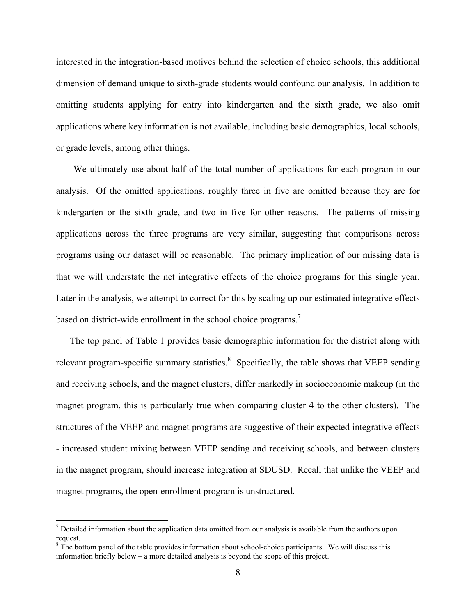interested in the integration-based motives behind the selection of choice schools, this additional dimension of demand unique to sixth-grade students would confound our analysis. In addition to omitting students applying for entry into kindergarten and the sixth grade, we also omit applications where key information is not available, including basic demographics, local schools, or grade levels, among other things.

We ultimately use about half of the total number of applications for each program in our analysis. Of the omitted applications, roughly three in five are omitted because they are for kindergarten or the sixth grade, and two in five for other reasons. The patterns of missing applications across the three programs are very similar, suggesting that comparisons across programs using our dataset will be reasonable. The primary implication of our missing data is that we will understate the net integrative effects of the choice programs for this single year. Later in the analysis, we attempt to correct for this by scaling up our estimated integrative effects based on district-wide enrollment in the school choice programs.<sup>7</sup>

The top panel of Table 1 provides basic demographic information for the district along with relevant program-specific summary statistics. $\delta$  Specifically, the table shows that VEEP sending and receiving schools, and the magnet clusters, differ markedly in socioeconomic makeup (in the magnet program, this is particularly true when comparing cluster 4 to the other clusters). The structures of the VEEP and magnet programs are suggestive of their expected integrative effects - increased student mixing between VEEP sending and receiving schools, and between clusters in the magnet program, should increase integration at SDUSD. Recall that unlike the VEEP and magnet programs, the open-enrollment program is unstructured.

 $<sup>7</sup>$  Detailed information about the application data omitted from our analysis is available from the authors upon</sup> request.

<sup>&</sup>lt;sup>8</sup> The bottom panel of the table provides information about school-choice participants. We will discuss this information briefly below – a more detailed analysis is beyond the scope of this project.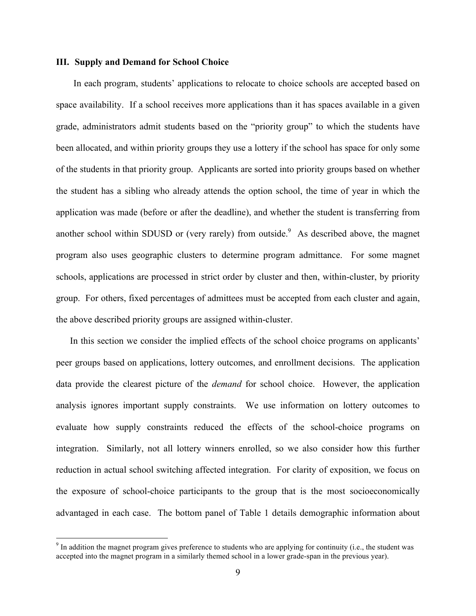#### **III. Supply and Demand for School Choice**

In each program, students' applications to relocate to choice schools are accepted based on space availability. If a school receives more applications than it has spaces available in a given grade, administrators admit students based on the "priority group" to which the students have been allocated, and within priority groups they use a lottery if the school has space for only some of the students in that priority group. Applicants are sorted into priority groups based on whether the student has a sibling who already attends the option school, the time of year in which the application was made (before or after the deadline), and whether the student is transferring from another school within SDUSD or (very rarely) from outside.<sup>9</sup> As described above, the magnet program also uses geographic clusters to determine program admittance. For some magnet schools, applications are processed in strict order by cluster and then, within-cluster, by priority group. For others, fixed percentages of admittees must be accepted from each cluster and again, the above described priority groups are assigned within-cluster.

In this section we consider the implied effects of the school choice programs on applicants' peer groups based on applications, lottery outcomes, and enrollment decisions. The application data provide the clearest picture of the *demand* for school choice. However, the application analysis ignores important supply constraints. We use information on lottery outcomes to evaluate how supply constraints reduced the effects of the school-choice programs on integration. Similarly, not all lottery winners enrolled, so we also consider how this further reduction in actual school switching affected integration. For clarity of exposition, we focus on the exposure of school-choice participants to the group that is the most socioeconomically advantaged in each case. The bottom panel of Table 1 details demographic information about

 $9$  In addition the magnet program gives preference to students who are applying for continuity (i.e., the student was accepted into the magnet program in a similarly themed school in a lower grade-span in the previous year).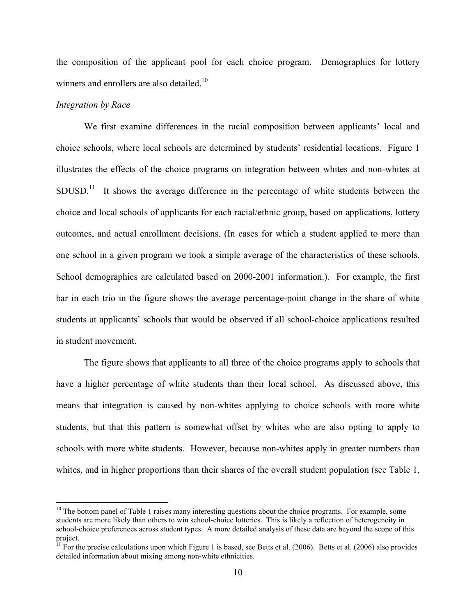the composition of the applicant pool for each choice program. Demographics for lottery winners and enrollers are also detailed.<sup>10</sup>

#### *Integration by Race*

We first examine differences in the racial composition between applicants' local and choice schools, where local schools are determined by students' residential locations. Figure 1 illustrates the effects of the choice programs on integration between whites and non-whites at  $SDUSD<sup>11</sup>$  It shows the average difference in the percentage of white students between the choice and local schools of applicants for each racial/ethnic group, based on applications, lottery outcomes, and actual enrollment decisions. (In cases for which a student applied to more than one school in a given program we took a simple average of the characteristics of these schools. School demographics are calculated based on 2000-2001 information.). For example, the first bar in each trio in the figure shows the average percentage-point change in the share of white students at applicants' schools that would be observed if all school-choice applications resulted in student movement.

The figure shows that applicants to all three of the choice programs apply to schools that have a higher percentage of white students than their local school. As discussed above, this means that integration is caused by non-whites applying to choice schools with more white students, but that this pattern is somewhat offset by whites who are also opting to apply to schools with more white students. However, because non-whites apply in greater numbers than whites, and in higher proportions than their shares of the overall student population (see Table 1,

<sup>&</sup>lt;sup>10</sup> The bottom panel of Table 1 raises many interesting questions about the choice programs. For example, some students are more likely than others to win school-choice lotteries. This is likely a reflection of heterogeneity in school-choice preferences across student types. A more detailed analysis of these data are beyond the scope of this project.

 $11$  For the precise calculations upon which Figure 1 is based, see Betts et al. (2006). Betts et al. (2006) also provides detailed information about mixing among non-white ethnicities.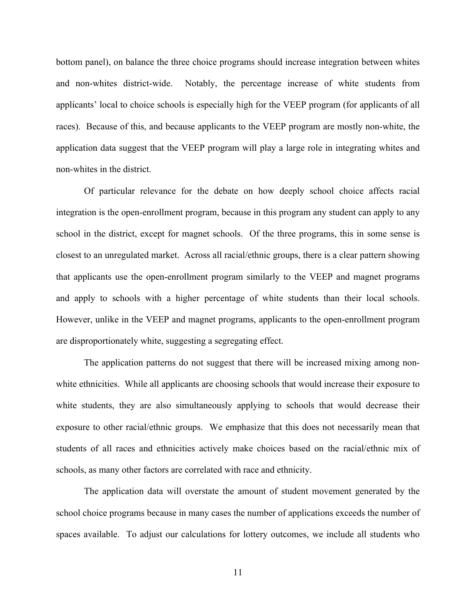bottom panel), on balance the three choice programs should increase integration between whites and non-whites district-wide. Notably, the percentage increase of white students from applicants' local to choice schools is especially high for the VEEP program (for applicants of all races). Because of this, and because applicants to the VEEP program are mostly non-white, the application data suggest that the VEEP program will play a large role in integrating whites and non-whites in the district.

Of particular relevance for the debate on how deeply school choice affects racial integration is the open-enrollment program, because in this program any student can apply to any school in the district, except for magnet schools. Of the three programs, this in some sense is closest to an unregulated market. Across all racial/ethnic groups, there is a clear pattern showing that applicants use the open-enrollment program similarly to the VEEP and magnet programs and apply to schools with a higher percentage of white students than their local schools. However, unlike in the VEEP and magnet programs, applicants to the open-enrollment program are disproportionately white, suggesting a segregating effect.

The application patterns do not suggest that there will be increased mixing among nonwhite ethnicities. While all applicants are choosing schools that would increase their exposure to white students, they are also simultaneously applying to schools that would decrease their exposure to other racial/ethnic groups. We emphasize that this does not necessarily mean that students of all races and ethnicities actively make choices based on the racial/ethnic mix of schools, as many other factors are correlated with race and ethnicity.

The application data will overstate the amount of student movement generated by the school choice programs because in many cases the number of applications exceeds the number of spaces available. To adjust our calculations for lottery outcomes, we include all students who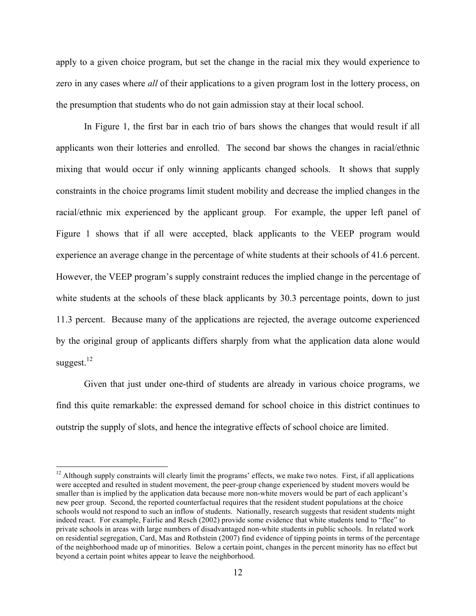apply to a given choice program, but set the change in the racial mix they would experience to zero in any cases where *all* of their applications to a given program lost in the lottery process, on the presumption that students who do not gain admission stay at their local school.

In Figure 1, the first bar in each trio of bars shows the changes that would result if all applicants won their lotteries and enrolled. The second bar shows the changes in racial/ethnic mixing that would occur if only winning applicants changed schools. It shows that supply constraints in the choice programs limit student mobility and decrease the implied changes in the racial/ethnic mix experienced by the applicant group. For example, the upper left panel of Figure 1 shows that if all were accepted, black applicants to the VEEP program would experience an average change in the percentage of white students at their schools of 41.6 percent. However, the VEEP program's supply constraint reduces the implied change in the percentage of white students at the schools of these black applicants by 30.3 percentage points, down to just 11.3 percent. Because many of the applications are rejected, the average outcome experienced by the original group of applicants differs sharply from what the application data alone would suggest.<sup>12</sup>

Given that just under one-third of students are already in various choice programs, we find this quite remarkable: the expressed demand for school choice in this district continues to outstrip the supply of slots, and hence the integrative effects of school choice are limited.

 $12$  Although supply constraints will clearly limit the programs' effects, we make two notes. First, if all applications were accepted and resulted in student movement, the peer-group change experienced by student movers would be smaller than is implied by the application data because more non-white movers would be part of each applicant's new peer group. Second, the reported counterfactual requires that the resident student populations at the choice schools would not respond to such an inflow of students. Nationally, research suggests that resident students might indeed react. For example, Fairlie and Resch (2002) provide some evidence that white students tend to "flee" to private schools in areas with large numbers of disadvantaged non-white students in public schools. In related work on residential segregation, Card, Mas and Rothstein (2007) find evidence of tipping points in terms of the percentage of the neighborhood made up of minorities. Below a certain point, changes in the percent minority has no effect but beyond a certain point whites appear to leave the neighborhood.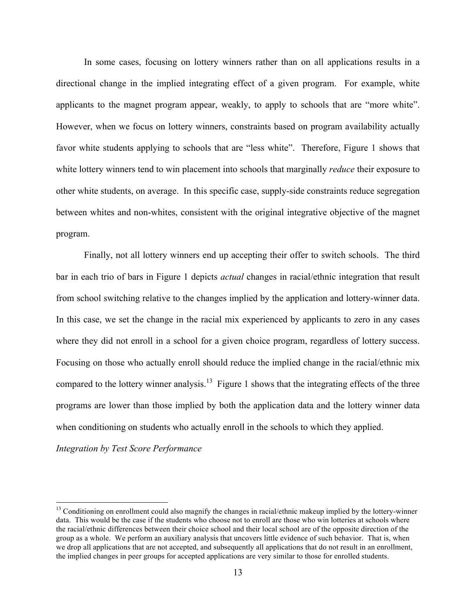In some cases, focusing on lottery winners rather than on all applications results in a directional change in the implied integrating effect of a given program. For example, white applicants to the magnet program appear, weakly, to apply to schools that are "more white". However, when we focus on lottery winners, constraints based on program availability actually favor white students applying to schools that are "less white". Therefore, Figure 1 shows that white lottery winners tend to win placement into schools that marginally *reduce* their exposure to other white students, on average. In this specific case, supply-side constraints reduce segregation between whites and non-whites, consistent with the original integrative objective of the magnet program.

Finally, not all lottery winners end up accepting their offer to switch schools. The third bar in each trio of bars in Figure 1 depicts *actual* changes in racial/ethnic integration that result from school switching relative to the changes implied by the application and lottery-winner data. In this case, we set the change in the racial mix experienced by applicants to zero in any cases where they did not enroll in a school for a given choice program, regardless of lottery success. Focusing on those who actually enroll should reduce the implied change in the racial/ethnic mix compared to the lottery winner analysis.<sup>13</sup> Figure 1 shows that the integrating effects of the three programs are lower than those implied by both the application data and the lottery winner data when conditioning on students who actually enroll in the schools to which they applied.

## *Integration by Test Score Performance*

 $<sup>13</sup>$  Conditioning on enrollment could also magnify the changes in racial/ethnic makeup implied by the lottery-winner</sup> data. This would be the case if the students who choose not to enroll are those who win lotteries at schools where the racial/ethnic differences between their choice school and their local school are of the opposite direction of the group as a whole. We perform an auxiliary analysis that uncovers little evidence of such behavior. That is, when we drop all applications that are not accepted, and subsequently all applications that do not result in an enrollment, the implied changes in peer groups for accepted applications are very similar to those for enrolled students.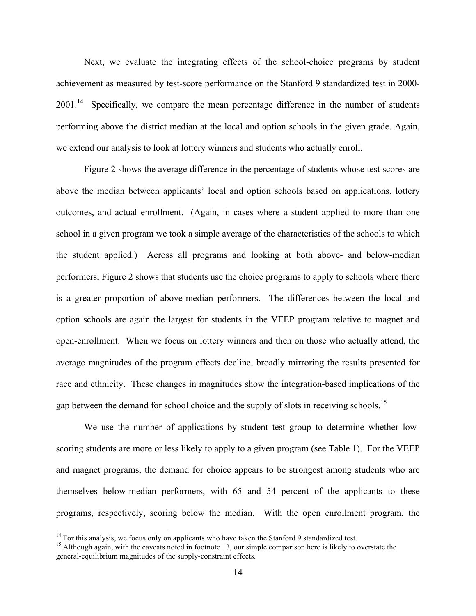Next, we evaluate the integrating effects of the school-choice programs by student achievement as measured by test-score performance on the Stanford 9 standardized test in 2000-  $2001$ <sup>14</sup> Specifically, we compare the mean percentage difference in the number of students performing above the district median at the local and option schools in the given grade. Again, we extend our analysis to look at lottery winners and students who actually enroll.

Figure 2 shows the average difference in the percentage of students whose test scores are above the median between applicants' local and option schools based on applications, lottery outcomes, and actual enrollment. (Again, in cases where a student applied to more than one school in a given program we took a simple average of the characteristics of the schools to which the student applied.) Across all programs and looking at both above- and below-median performers, Figure 2 shows that students use the choice programs to apply to schools where there is a greater proportion of above-median performers. The differences between the local and option schools are again the largest for students in the VEEP program relative to magnet and open-enrollment. When we focus on lottery winners and then on those who actually attend, the average magnitudes of the program effects decline, broadly mirroring the results presented for race and ethnicity. These changes in magnitudes show the integration-based implications of the gap between the demand for school choice and the supply of slots in receiving schools.<sup>15</sup>

We use the number of applications by student test group to determine whether lowscoring students are more or less likely to apply to a given program (see Table 1). For the VEEP and magnet programs, the demand for choice appears to be strongest among students who are themselves below-median performers, with 65 and 54 percent of the applicants to these programs, respectively, scoring below the median. With the open enrollment program, the

<sup>&</sup>lt;sup>14</sup> For this analysis, we focus only on applicants who have taken the Stanford 9 standardized test. <sup>15</sup> Although again, with the caveats noted in footnote 13, our simple comparison here is likely to overstate the general-equilibrium magnitudes of the supply-constraint effects.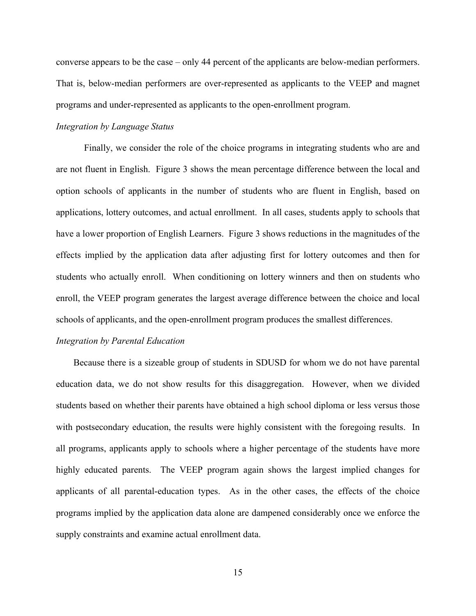converse appears to be the case – only 44 percent of the applicants are below-median performers. That is, below-median performers are over-represented as applicants to the VEEP and magnet programs and under-represented as applicants to the open-enrollment program.

### *Integration by Language Status*

Finally, we consider the role of the choice programs in integrating students who are and are not fluent in English. Figure 3 shows the mean percentage difference between the local and option schools of applicants in the number of students who are fluent in English, based on applications, lottery outcomes, and actual enrollment. In all cases, students apply to schools that have a lower proportion of English Learners. Figure 3 shows reductions in the magnitudes of the effects implied by the application data after adjusting first for lottery outcomes and then for students who actually enroll. When conditioning on lottery winners and then on students who enroll, the VEEP program generates the largest average difference between the choice and local schools of applicants, and the open-enrollment program produces the smallest differences.

#### *Integration by Parental Education*

Because there is a sizeable group of students in SDUSD for whom we do not have parental education data, we do not show results for this disaggregation. However, when we divided students based on whether their parents have obtained a high school diploma or less versus those with postsecondary education, the results were highly consistent with the foregoing results. In all programs, applicants apply to schools where a higher percentage of the students have more highly educated parents. The VEEP program again shows the largest implied changes for applicants of all parental-education types. As in the other cases, the effects of the choice programs implied by the application data alone are dampened considerably once we enforce the supply constraints and examine actual enrollment data.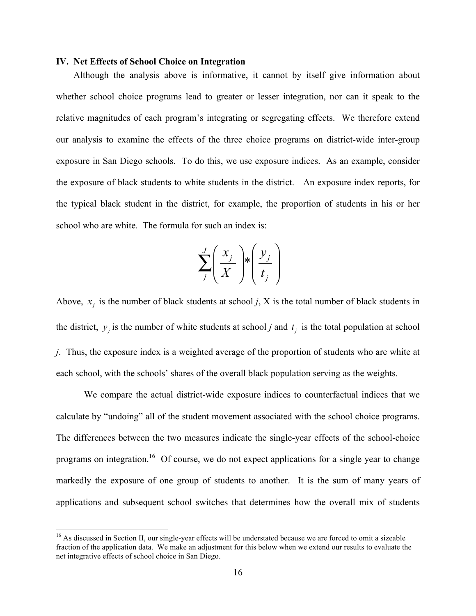#### **IV. Net Effects of School Choice on Integration**

Although the analysis above is informative, it cannot by itself give information about whether school choice programs lead to greater or lesser integration, nor can it speak to the relative magnitudes of each program's integrating or segregating effects. We therefore extend our analysis to examine the effects of the three choice programs on district-wide inter-group exposure in San Diego schools. To do this, we use exposure indices. As an example, consider the exposure of black students to white students in the district. An exposure index reports, for the typical black student in the district, for example, the proportion of students in his or her school who are white. The formula for such an index is:

$$
\sum_{j}^{J} \left( \frac{x_j}{X} \right) * \left( \frac{y_j}{t_j} \right)
$$

Above,  $x_i$  is the number of black students at school *j*, X is the total number of black students in the district,  $y_i$  is the number of white students at school *j* and  $t_i$  is the total population at school *j*. Thus, the exposure index is a weighted average of the proportion of students who are white at each school, with the schools' shares of the overall black population serving as the weights.

We compare the actual district-wide exposure indices to counterfactual indices that we calculate by "undoing" all of the student movement associated with the school choice programs. The differences between the two measures indicate the single-year effects of the school-choice programs on integration.16 Of course, we do not expect applications for a single year to change markedly the exposure of one group of students to another. It is the sum of many years of applications and subsequent school switches that determines how the overall mix of students

 $^{16}$  As discussed in Section II, our single-year effects will be understated because we are forced to omit a sizeable fraction of the application data. We make an adjustment for this below when we extend our results to evaluate the net integrative effects of school choice in San Diego.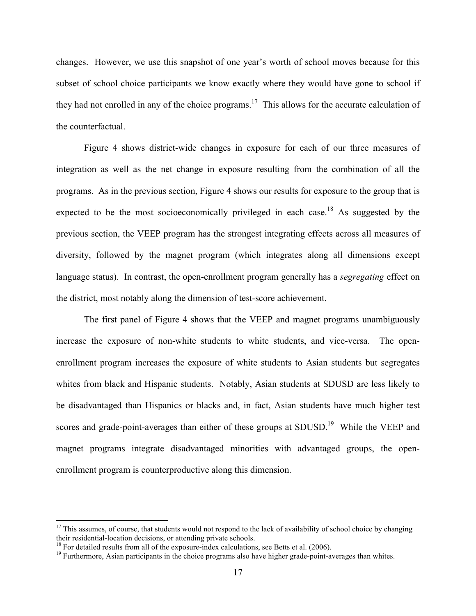changes. However, we use this snapshot of one year's worth of school moves because for this subset of school choice participants we know exactly where they would have gone to school if they had not enrolled in any of the choice programs.<sup>17</sup> This allows for the accurate calculation of the counterfactual.

Figure 4 shows district-wide changes in exposure for each of our three measures of integration as well as the net change in exposure resulting from the combination of all the programs. As in the previous section, Figure 4 shows our results for exposure to the group that is expected to be the most socioeconomically privileged in each case.<sup>18</sup> As suggested by the previous section, the VEEP program has the strongest integrating effects across all measures of diversity, followed by the magnet program (which integrates along all dimensions except language status). In contrast, the open-enrollment program generally has a *segregating* effect on the district, most notably along the dimension of test-score achievement.

The first panel of Figure 4 shows that the VEEP and magnet programs unambiguously increase the exposure of non-white students to white students, and vice-versa. The openenrollment program increases the exposure of white students to Asian students but segregates whites from black and Hispanic students. Notably, Asian students at SDUSD are less likely to be disadvantaged than Hispanics or blacks and, in fact, Asian students have much higher test scores and grade-point-averages than either of these groups at SDUSD.<sup>19</sup> While the VEEP and magnet programs integrate disadvantaged minorities with advantaged groups, the openenrollment program is counterproductive along this dimension.

 $17$  This assumes, of course, that students would not respond to the lack of availability of school choice by changing their residential-location decisions, or attending private schools.

<sup>&</sup>lt;sup>18</sup> For detailed results from all of the exposure-index calculations, see Betts et al.  $(2006)$ .<br><sup>19</sup> Furthermore, Asian participants in the choice programs also have higher grade-point-averages than whites.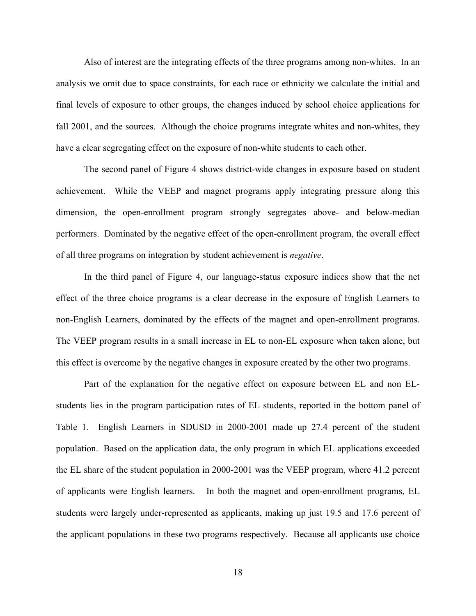Also of interest are the integrating effects of the three programs among non-whites. In an analysis we omit due to space constraints, for each race or ethnicity we calculate the initial and final levels of exposure to other groups, the changes induced by school choice applications for fall 2001, and the sources. Although the choice programs integrate whites and non-whites, they have a clear segregating effect on the exposure of non-white students to each other.

The second panel of Figure 4 shows district-wide changes in exposure based on student achievement. While the VEEP and magnet programs apply integrating pressure along this dimension, the open-enrollment program strongly segregates above- and below-median performers. Dominated by the negative effect of the open-enrollment program, the overall effect of all three programs on integration by student achievement is *negative*.

In the third panel of Figure 4, our language-status exposure indices show that the net effect of the three choice programs is a clear decrease in the exposure of English Learners to non-English Learners, dominated by the effects of the magnet and open-enrollment programs. The VEEP program results in a small increase in EL to non-EL exposure when taken alone, but this effect is overcome by the negative changes in exposure created by the other two programs.

Part of the explanation for the negative effect on exposure between EL and non ELstudents lies in the program participation rates of EL students, reported in the bottom panel of Table 1. English Learners in SDUSD in 2000-2001 made up 27.4 percent of the student population. Based on the application data, the only program in which EL applications exceeded the EL share of the student population in 2000-2001 was the VEEP program, where 41.2 percent of applicants were English learners. In both the magnet and open-enrollment programs, EL students were largely under-represented as applicants, making up just 19.5 and 17.6 percent of the applicant populations in these two programs respectively. Because all applicants use choice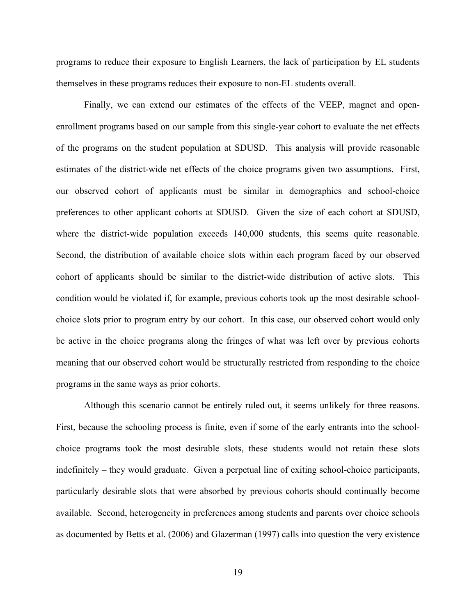programs to reduce their exposure to English Learners, the lack of participation by EL students themselves in these programs reduces their exposure to non-EL students overall.

Finally, we can extend our estimates of the effects of the VEEP, magnet and openenrollment programs based on our sample from this single-year cohort to evaluate the net effects of the programs on the student population at SDUSD. This analysis will provide reasonable estimates of the district-wide net effects of the choice programs given two assumptions. First, our observed cohort of applicants must be similar in demographics and school-choice preferences to other applicant cohorts at SDUSD. Given the size of each cohort at SDUSD, where the district-wide population exceeds 140,000 students, this seems quite reasonable. Second, the distribution of available choice slots within each program faced by our observed cohort of applicants should be similar to the district-wide distribution of active slots. This condition would be violated if, for example, previous cohorts took up the most desirable schoolchoice slots prior to program entry by our cohort. In this case, our observed cohort would only be active in the choice programs along the fringes of what was left over by previous cohorts meaning that our observed cohort would be structurally restricted from responding to the choice programs in the same ways as prior cohorts.

Although this scenario cannot be entirely ruled out, it seems unlikely for three reasons. First, because the schooling process is finite, even if some of the early entrants into the schoolchoice programs took the most desirable slots, these students would not retain these slots indefinitely – they would graduate. Given a perpetual line of exiting school-choice participants, particularly desirable slots that were absorbed by previous cohorts should continually become available. Second, heterogeneity in preferences among students and parents over choice schools as documented by Betts et al. (2006) and Glazerman (1997) calls into question the very existence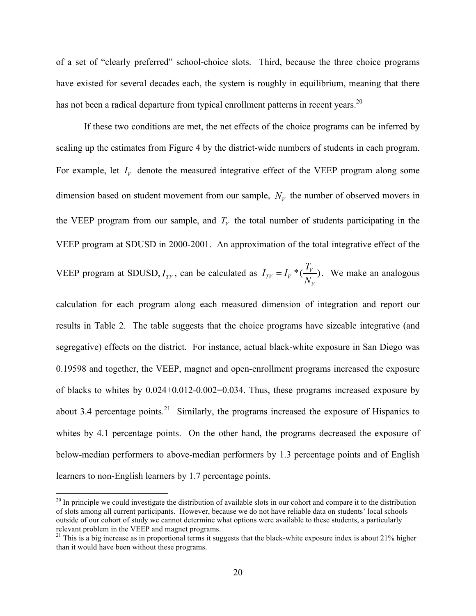of a set of "clearly preferred" school-choice slots. Third, because the three choice programs have existed for several decades each, the system is roughly in equilibrium, meaning that there has not been a radical departure from typical enrollment patterns in recent vears.<sup>20</sup>

If these two conditions are met, the net effects of the choice programs can be inferred by scaling up the estimates from Figure 4 by the district-wide numbers of students in each program. For example, let  $I_V$  denote the measured integrative effect of the VEEP program along some dimension based on student movement from our sample,  $N_V$  the number of observed movers in the VEEP program from our sample, and  $T_V$  the total number of students participating in the VEEP program at SDUSD in 2000-2001. An approximation of the total integrative effect of the

VEEP program at SDUSD,  $I_{TV}$ , can be calculated as  $I_{TV} = I_V^*(\frac{I_V}{N})$ *V*  $I_{\tau V} = I_V \cdot \left( \frac{T_1}{T_1} \right)$  $= I_V^*(\frac{IV}{N_V})$ . We make an analogous

calculation for each program along each measured dimension of integration and report our results in Table 2. The table suggests that the choice programs have sizeable integrative (and segregative) effects on the district. For instance, actual black-white exposure in San Diego was 0.19598 and together, the VEEP, magnet and open-enrollment programs increased the exposure of blacks to whites by 0.024+0.012-0.002=0.034. Thus, these programs increased exposure by about 3.4 percentage points.<sup>21</sup> Similarly, the programs increased the exposure of Hispanics to whites by 4.1 percentage points. On the other hand, the programs decreased the exposure of below-median performers to above-median performers by 1.3 percentage points and of English learners to non-English learners by 1.7 percentage points.

 $20$  In principle we could investigate the distribution of available slots in our cohort and compare it to the distribution of slots among all current participants. However, because we do not have reliable data on students' local schools outside of our cohort of study we cannot determine what options were available to these students, a particularly relevant problem in the VEEP and magnet programs.

 $21$  This is a big increase as in proportional terms it suggests that the black-white exposure index is about 21% higher than it would have been without these programs.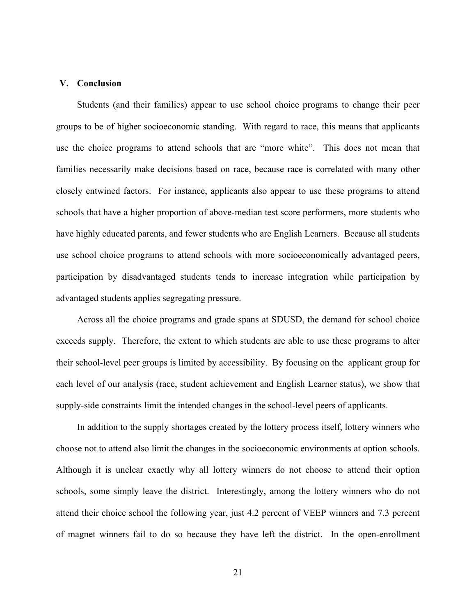#### **V. Conclusion**

Students (and their families) appear to use school choice programs to change their peer groups to be of higher socioeconomic standing. With regard to race, this means that applicants use the choice programs to attend schools that are "more white". This does not mean that families necessarily make decisions based on race, because race is correlated with many other closely entwined factors. For instance, applicants also appear to use these programs to attend schools that have a higher proportion of above-median test score performers, more students who have highly educated parents, and fewer students who are English Learners. Because all students use school choice programs to attend schools with more socioeconomically advantaged peers, participation by disadvantaged students tends to increase integration while participation by advantaged students applies segregating pressure.

Across all the choice programs and grade spans at SDUSD, the demand for school choice exceeds supply. Therefore, the extent to which students are able to use these programs to alter their school-level peer groups is limited by accessibility. By focusing on the applicant group for each level of our analysis (race, student achievement and English Learner status), we show that supply-side constraints limit the intended changes in the school-level peers of applicants.

In addition to the supply shortages created by the lottery process itself, lottery winners who choose not to attend also limit the changes in the socioeconomic environments at option schools. Although it is unclear exactly why all lottery winners do not choose to attend their option schools, some simply leave the district. Interestingly, among the lottery winners who do not attend their choice school the following year, just 4.2 percent of VEEP winners and 7.3 percent of magnet winners fail to do so because they have left the district. In the open-enrollment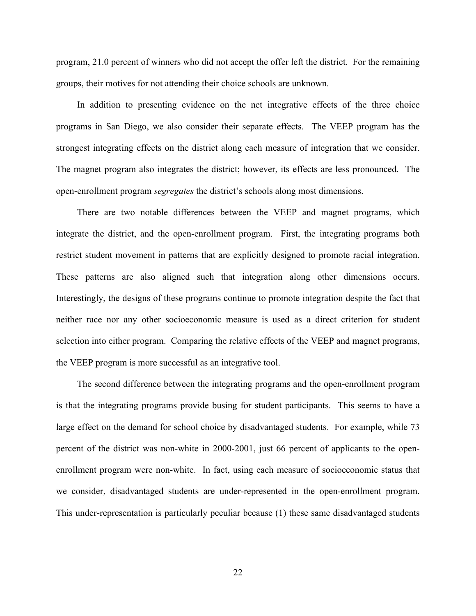program, 21.0 percent of winners who did not accept the offer left the district. For the remaining groups, their motives for not attending their choice schools are unknown.

In addition to presenting evidence on the net integrative effects of the three choice programs in San Diego, we also consider their separate effects. The VEEP program has the strongest integrating effects on the district along each measure of integration that we consider. The magnet program also integrates the district; however, its effects are less pronounced. The open-enrollment program *segregates* the district's schools along most dimensions.

There are two notable differences between the VEEP and magnet programs, which integrate the district, and the open-enrollment program. First, the integrating programs both restrict student movement in patterns that are explicitly designed to promote racial integration. These patterns are also aligned such that integration along other dimensions occurs. Interestingly, the designs of these programs continue to promote integration despite the fact that neither race nor any other socioeconomic measure is used as a direct criterion for student selection into either program. Comparing the relative effects of the VEEP and magnet programs, the VEEP program is more successful as an integrative tool.

The second difference between the integrating programs and the open-enrollment program is that the integrating programs provide busing for student participants. This seems to have a large effect on the demand for school choice by disadvantaged students. For example, while 73 percent of the district was non-white in 2000-2001, just 66 percent of applicants to the openenrollment program were non-white. In fact, using each measure of socioeconomic status that we consider, disadvantaged students are under-represented in the open-enrollment program. This under-representation is particularly peculiar because (1) these same disadvantaged students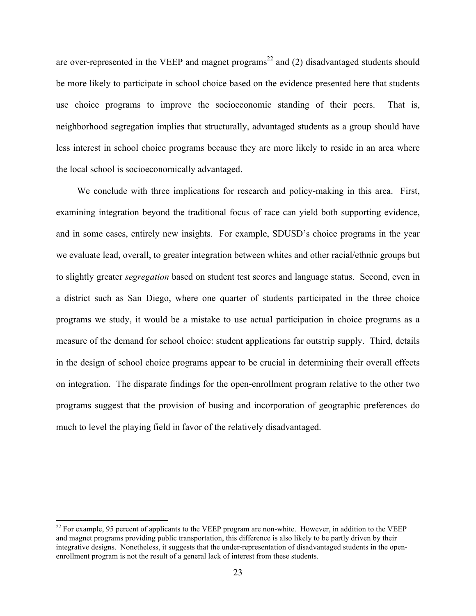are over-represented in the VEEP and magnet programs<sup>22</sup> and (2) disadvantaged students should be more likely to participate in school choice based on the evidence presented here that students use choice programs to improve the socioeconomic standing of their peers. That is, neighborhood segregation implies that structurally, advantaged students as a group should have less interest in school choice programs because they are more likely to reside in an area where the local school is socioeconomically advantaged.

We conclude with three implications for research and policy-making in this area. First, examining integration beyond the traditional focus of race can yield both supporting evidence, and in some cases, entirely new insights. For example, SDUSD's choice programs in the year we evaluate lead, overall, to greater integration between whites and other racial/ethnic groups but to slightly greater *segregation* based on student test scores and language status. Second, even in a district such as San Diego, where one quarter of students participated in the three choice programs we study, it would be a mistake to use actual participation in choice programs as a measure of the demand for school choice: student applications far outstrip supply. Third, details in the design of school choice programs appear to be crucial in determining their overall effects on integration. The disparate findings for the open-enrollment program relative to the other two programs suggest that the provision of busing and incorporation of geographic preferences do much to level the playing field in favor of the relatively disadvantaged.

 $^{22}$  For example, 95 percent of applicants to the VEEP program are non-white. However, in addition to the VEEP and magnet programs providing public transportation, this difference is also likely to be partly driven by their integrative designs. Nonetheless, it suggests that the under-representation of disadvantaged students in the openenrollment program is not the result of a general lack of interest from these students.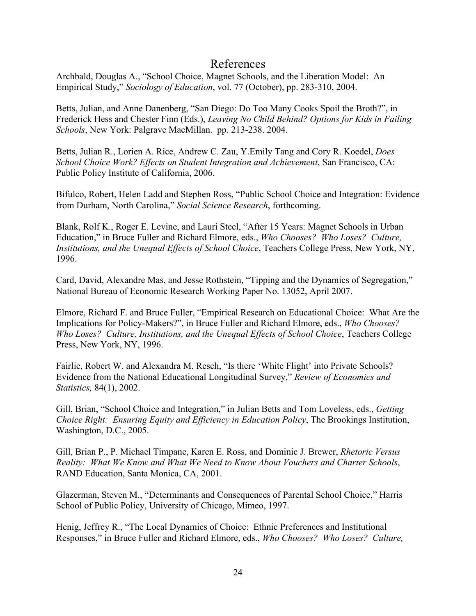# References

Archbald, Douglas A., "School Choice, Magnet Schools, and the Liberation Model: An Empirical Study," *Sociology of Education*, vol. 77 (October), pp. 283-310, 2004.

Betts, Julian, and Anne Danenberg, "San Diego: Do Too Many Cooks Spoil the Broth?", in Frederick Hess and Chester Finn (Eds.), *Leaving No Child Behind? Options for Kids in Failing Schools*, New York: Palgrave MacMillan. pp. 213-238. 2004.

Betts, Julian R., Lorien A. Rice, Andrew C. Zau, Y.Emily Tang and Cory R. Koedel, *Does School Choice Work? Effects on Student Integration and Achievement*, San Francisco, CA: Public Policy Institute of California, 2006.

Bifulco, Robert, Helen Ladd and Stephen Ross, "Public School Choice and Integration: Evidence from Durham, North Carolina," *Social Science Research*, forthcoming.

Blank, Rolf K., Roger E. Levine, and Lauri Steel, "After 15 Years: Magnet Schools in Urban Education," in Bruce Fuller and Richard Elmore, eds., *Who Chooses? Who Loses? Culture, Institutions, and the Unequal Effects of School Choice*, Teachers College Press, New York, NY, 1996.

Card, David, Alexandre Mas, and Jesse Rothstein, "Tipping and the Dynamics of Segregation," National Bureau of Economic Research Working Paper No. 13052, April 2007.

Elmore, Richard F. and Bruce Fuller, "Empirical Research on Educational Choice: What Are the Implications for Policy-Makers?", in Bruce Fuller and Richard Elmore, eds., *Who Chooses? Who Loses? Culture, Institutions, and the Unequal Effects of School Choice*, Teachers College Press, New York, NY, 1996.

Fairlie, Robert W. and Alexandra M. Resch, "Is there 'White Flight' into Private Schools? Evidence from the National Educational Longitudinal Survey," *Review of Economics and Statistics,* 84(1), 2002.

Gill, Brian, "School Choice and Integration," in Julian Betts and Tom Loveless, eds., *Getting Choice Right: Ensuring Equity and Efficiency in Education Policy*, The Brookings Institution, Washington, D.C., 2005.

Gill, Brian P., P. Michael Timpane, Karen E. Ross, and Dominic J. Brewer, *Rhetoric Versus Reality: What We Know and What We Need to Know About Vouchers and Charter Schools*, RAND Education, Santa Monica, CA, 2001.

Glazerman, Steven M., "Determinants and Consequences of Parental School Choice," Harris School of Public Policy, University of Chicago, Mimeo, 1997.

Henig, Jeffrey R., "The Local Dynamics of Choice: Ethnic Preferences and Institutional Responses," in Bruce Fuller and Richard Elmore, eds., *Who Chooses? Who Loses? Culture,*